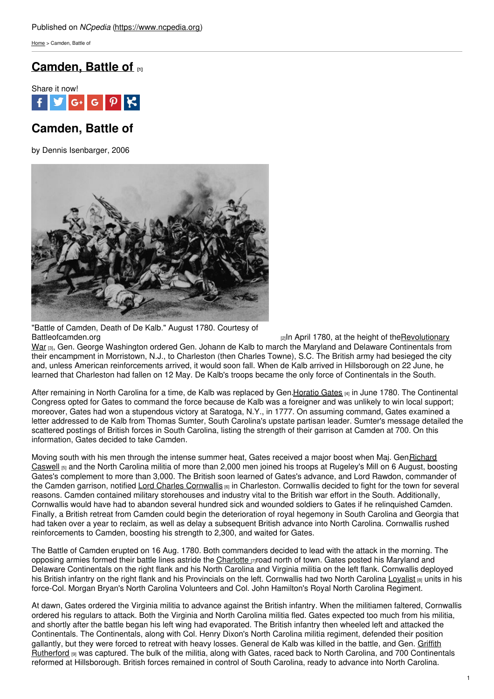[Home](https://www.ncpedia.org/) > Camden, Battle of

## **[Camden,](https://www.ncpedia.org/camden-battle) Battle of [1]**



# **Camden, Battle of**

by Dennis Isenbarger, 2006



"Battle of Camden, Death of De Kalb." August 1780. Courtesy of [Battleofcamden.org](https://www.ncpedia.org/african-americans/introduction) **EXECUTE:** [2] Battleofcamden.org **EXECUTE:** [2] In April 1780, at the height of theRevolutionary War [3], Gen. George Washington ordered Gen. Johann de Kalb to march the Maryland and Delaware Continentals from their encampment in Morristown, N.J., to Charleston (then Charles Towne), S.C. The British army had besieged the city and, unless American reinforcements arrived, it would soon fall. When de Kalb arrived in Hillsborough on 22 June, he learned that Charleston had fallen on 12 May. De Kalb's troops became the only force of Continentals in the South.

After remaining in North Carolina for a time, de Kalb was replaced by Gen[.Horatio](http://www.patriotresource.com/amerrev/people/continentals/gates.html) Gates [4] in June 1780. The Continental Congress opted for Gates to command the force because de Kalb was a foreigner and was unlikely to win local support; moreover, Gates had won a stupendous victory at Saratoga, N.Y., in 1777. On assuming command, Gates examined a letter addressed to de Kalb from Thomas Sumter, South Carolina's upstate partisan leader. Sumter's message detailed the scattered postings of British forces in South Carolina, listing the strength of their garrison at Camden at 700. On this information, Gates decided to take Camden.

Moving south with his men through the intense summer heat, Gates received a major boost when Maj. Gen*Richard* Caswell <sub>[5]</sub> and the North Carolina militia of more than 2,000 men joined his troops at Rugeley's Mill on 6 August, boosting Gates's complement to more than 3,000. The British soon learned of Gates's advance, and Lord Rawdon, commander of the Camden garrison, notified Lord Charles [Cornwallis](http://www.pbs.org/wnet/historyofus/web02/features/bio/B03.html) [6] in Charleston. Cornwallis decided to fight for the town for several reasons. Camden contained military storehouses and industry vital to the British war effort in the South. Additionally, Cornwallis would have had to abandon several hundred sick and wounded soldiers to Gates if he relinquished Camden. Finally, a British retreat from Camden could begin the deterioration of royal hegemony in South Carolina and Georgia that had taken over a year to reclaim, as well as delay a subsequent British advance into North Carolina. Cornwallis rushed reinforcements to Camden, boosting his strength to 2,300, and waited for Gates.

The Battle of Camden erupted on 16 Aug. 1780. Both commanders decided to lead with the attack in the morning. The opposing armies formed their battle lines astride the [Charlotte](https://www.ncpedia.org/geography/charlotte) [7]road north of town. Gates posted his Maryland and Delaware Continentals on the right flank and his North Carolina and Virginia militia on the left flank. Cornwallis deployed his British infantry on the right flank and his Provincials on the left. Cornwallis had two North Carolina [Loyalist](https://www.ncpedia.org/loyalists) [8] units in his force-Col. Morgan Bryan's North Carolina Volunteers and Col. John Hamilton's Royal North Carolina Regiment.

At dawn, Gates ordered the Virginia militia to advance against the British infantry. When the militiamen faltered, Cornwallis ordered his regulars to attack. Both the Virginia and North Carolina militia fled. Gates expected too much from his militia, and shortly after the battle began his left wing had evaporated. The British infantry then wheeled left and attacked the Continentals. The Continentals, along with Col. Henry Dixon's North Carolina militia regiment, defended their position gallantly, but they were forced to retreat with heavy losses. General de Kalb was killed in the battle, and Gen. Griffith [Rutherford](https://www.ncpedia.org/biography/rutherford-griffith) [9] was captured. The bulk of the militia, along with Gates, raced back to North Carolina, and 700 Continentals reformed at Hillsborough. British forces remained in control of South Carolina, ready to advance into North Carolina.